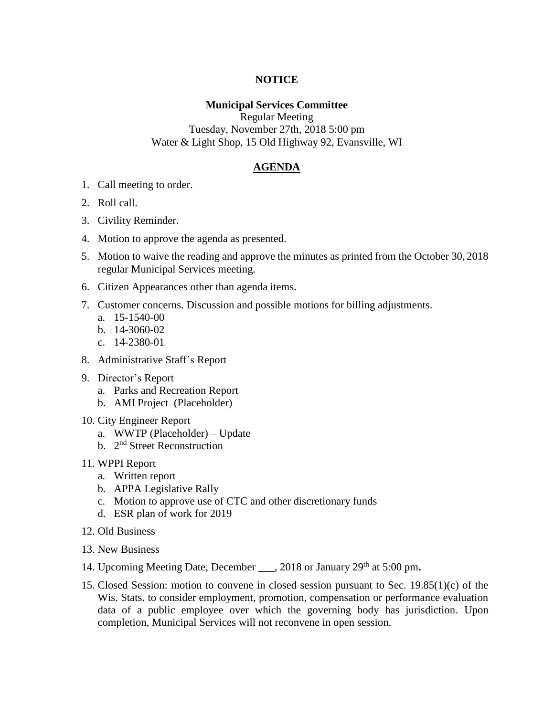## **NOTICE**

## **Municipal Services Committee**

Regular Meeting Tuesday, November 27th, 2018 5:00 pm Water & Light Shop, 15 Old Highway 92, Evansville, WI

## **AGENDA**

- 1. Call meeting to order.
- 2. Roll call.
- 3. Civility Reminder.
- 4. Motion to approve the agenda as presented.
- 5. Motion to waive the reading and approve the minutes as printed from the October 30, 2018 regular Municipal Services meeting.
- 6. Citizen Appearances other than agenda items.
- 7. Customer concerns. Discussion and possible motions for billing adjustments.
	- a. 15-1540-00
	- b. 14-3060-02
	- c. 14-2380-01
- 8. Administrative Staff's Report
- 9. Director's Report
	- a. Parks and Recreation Report
	- b. AMI Project (Placeholder)
- 10. City Engineer Report
	- a. WWTP (Placeholder) Update
	- b. 2<sup>nd</sup> Street Reconstruction
- 11. WPPI Report
	- a. Written report
	- b. APPA Legislative Rally
	- c. Motion to approve use of CTC and other discretionary funds
	- d. ESR plan of work for 2019
- 12. Old Business
- 13. New Business
- 14. Upcoming Meeting Date, December \_\_\_, 2018 or January 29th at 5:00 pm**.**
- 15. Closed Session: motion to convene in closed session pursuant to Sec. 19.85(1)(c) of the Wis. Stats. to consider employment, promotion, compensation or performance evaluation data of a public employee over which the governing body has jurisdiction. Upon completion, Municipal Services will not reconvene in open session.